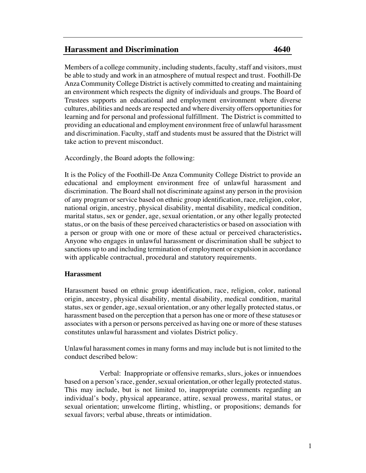# **Harassment and Discrimination** 4640

Members of a college community, including students, faculty, staff and visitors, must be able to study and work in an atmosphere of mutual respect and trust. Foothill-De Anza Community College District is actively committed to creating and maintaining an environment which respects the dignity of individuals and groups. The Board of Trustees supports an educational and employment environment where diverse cultures, abilities and needs are respected and where diversity offers opportunities for learning and for personal and professional fulfillment. The District is committed to providing an educational and employment environment free of unlawful harassment and discrimination. Faculty, staff and students must be assured that the District will take action to prevent misconduct.

Accordingly, the Board adopts the following:

It is the Policy of the Foothill-De Anza Community College District to provide an educational and employment environment free of unlawful harassment and discrimination. The Board shall not discriminate against any person in the provision of any program or service based on ethnic group identification, race, religion, color, national origin, ancestry, physical disability, mental disability, medical condition, marital status, sex or gender, age, sexual orientation, or any other legally protected status, or on the basis of these perceived characteristics or based on association with a person or group with one or more of these actual or perceived characteristics**.**  Anyone who engages in unlawful harassment or discrimination shall be subject to sanctions up to and including termination of employment or expulsion in accordance with applicable contractual, procedural and statutory requirements.

# **Harassment**

Harassment based on ethnic group identification, race, religion, color, national origin, ancestry, physical disability, mental disability, medical condition, marital status, sex or gender, age, sexual orientation, or any other legally protected status, or harassment based on the perception that a person has one or more of these statuses or associates with a person or persons perceived as having one or more of these statuses constitutes unlawful harassment and violates District policy.

Unlawful harassment comes in many forms and may include but is not limited to the conduct described below:

Verbal: Inappropriate or offensive remarks, slurs, jokes or innuendoes based on a person'srace, gender, sexual orientation, or other legally protected status. This may include, but is not limited to, inappropriate comments regarding an individual's body, physical appearance, attire, sexual prowess, marital status, or sexual orientation; unwelcome flirting, whistling, or propositions; demands for sexual favors; verbal abuse, threats or intimidation.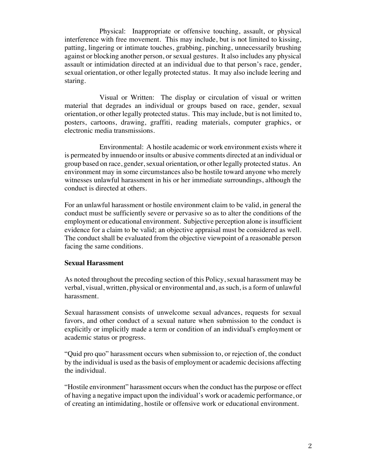Physical: Inappropriate or offensive touching, assault, or physical interference with free movement. This may include, but is not limited to kissing, patting, lingering or intimate touches, grabbing, pinching, unnecessarily brushing against or blocking another person, or sexual gestures.It also includes any physical assault or intimidation directed at an individual due to that person's race, gender, sexual orientation, or other legally protected status. It may also include leering and staring.

Visual or Written: The display or circulation of visual or written material that degrades an individual or groups based on race, gender, sexual orientation, or other legally protected status. This may include, but is not limited to, posters, cartoons, drawing, graffiti, reading materials, computer graphics, or electronic media transmissions.

Environmental: A hostile academic or work environment exists where it is permeated by innuendo or insults or abusive comments directed at an individual or group based on race, gender, sexual orientation, or other legally protected status. An environment may in some circumstances also be hostile toward anyone who merely witnesses unlawful harassment in his or her immediate surroundings, although the conduct is directed at others.

For an unlawful harassment or hostile environment claim to be valid, in general the conduct must be sufficiently severe or pervasive so as to alter the conditions of the employment or educational environment. Subjective perception alone is insufficient evidence for a claim to be valid; an objective appraisal must be considered as well. The conduct shall be evaluated from the objective viewpoint of a reasonable person facing the same conditions.

# **Sexual Harassment**

As noted throughout the preceding section of this Policy, sexual harassment may be verbal, visual, written, physical or environmental and, as such, is a form of unlawful harassment.

Sexual harassment consists of unwelcome sexual advances, requests for sexual favors, and other conduct of a sexual nature when submission to the conduct is explicitly or implicitly made a term or condition of an individual's employment or academic status or progress.

"Quid pro quo" harassment occurs when submission to, or rejection of, the conduct by the individual is used as the basis of employment or academic decisions affecting the individual.

"Hostile environment" harassment occurs when the conduct has the purpose or effect of having a negative impact upon the individual's work or academic performance, or of creating an intimidating, hostile or offensive work or educational environment.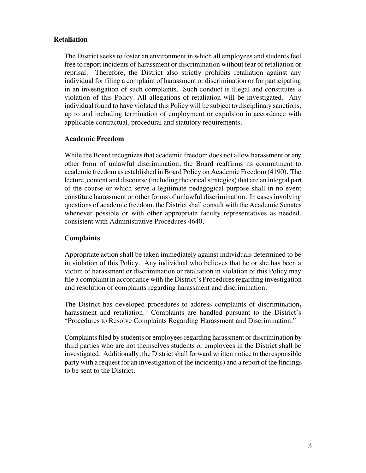# **Retaliation**

The District seeks to foster an environment in which all employees and students feel free to report incidents of harassment or discrimination without fear of retaliation or reprisal. Therefore, the District also strictly prohibits retaliation against any individual for filing a complaint of harassment or discrimination or for participating in an investigation of such complaints. Such conduct is illegal and constitutes a violation of this Policy. All allegations of retaliation will be investigated. Any individual found to have violated this Policy will be subject to disciplinary sanctions, up to and including termination of employment or expulsion in accordance with applicable contractual, procedural and statutory requirements.

#### **Academic Freedom**

While the Board recognizes that academic freedom does not allow harassment or any other form of unlawful discrimination, the Board reaffirms its commitment to academic freedom as established in Board Policy on Academic Freedom (4190). The lecture, content and discourse (including rhetorical strategies) that are an integral part of the course or which serve a legitimate pedagogical purpose shall in no event constitute harassment or other forms of unlawful discrimination. In cases involving questions of academic freedom, the District shall consult with the Academic Senates whenever possible or with other appropriate faculty representatives as needed, consistent with Administrative Procedures 4640.

# **Complaints**

Appropriate action shall be taken immediately against individuals determined to be in violation of this Policy. Any individual who believes that he or she has been a victim of harassment or discrimination or retaliation in violation of this Policy may file a complaint in accordance with the District's Procedures regarding investigation and resolution of complaints regarding harassment and discrimination.

The District has developed procedures to address complaints of discrimination**,** harassment and retaliation. Complaints are handled pursuant to the District's "Procedures to Resolve Complaints Regarding Harassment and Discrimination."

Complaints filed by students or employees regarding harassment or discrimination by third parties who are not themselves students or employees in the District shall be investigated. Additionally, the District shall forward written notice to the responsible party with a request for an investigation of the incident(s) and a report of the findings to be sent to the District.